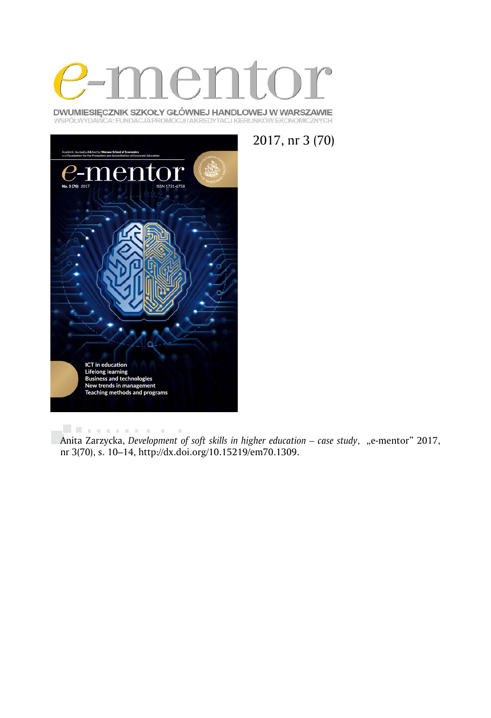

DWUMIESIĘCZNIK SZKOŁY GŁÓWNEJ HANDLOWEJ W WARSZAWIE WSPÓŁWYDAWCA: FUNDACJA PROMOCJI I AKREDYTACJ KIERUNKÓW EKONOMICZNYCH





. . . . . . . . . .  $\bar{a}$ Anita Zarzycka, *Development of soft skills in higher education – case study*, "e-mentor" 2017, nr 3(70), s. 10–14, http://dx.doi.org/10.15219/em70.1309.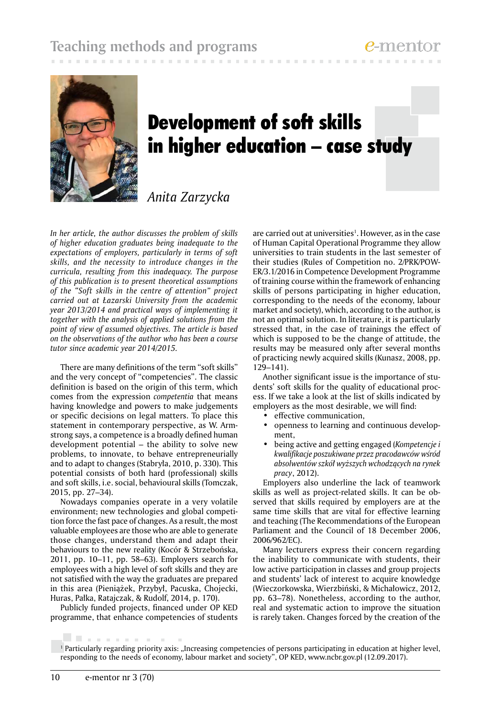

# Development of soft skills in higher education – case study

# *Anita Zarzycka*

*In her article, the author discusses the problem of skills of higher education graduates being inadequate to the expectations of employers, particularly in terms of soft skills, and the necessity to introduce changes in the curricula, resulting from this inadequacy. The purpose of this publication is to present theoretical assumptions of the "Soft skills in the centre of attention" project carried out at Łazarski University from the academic year 2013/2014 and practical ways of implementing it together with the analysis of applied solutions from the point of view of assumed objectives. The article is based on the observations of the author who has been a course tutor since academic year 2014/2015.*

There are many definitions of the term "soft skills" and the very concept of "competencies". The classic definition is based on the origin of this term, which comes from the expression *competentia* that means having knowledge and powers to make judgements or specific decisions on legal matters. To place this statement in contemporary perspective, as W. Armstrong says, a competence is a broadly defined human development potential – the ability to solve new problems, to innovate, to behave entrepreneurially and to adapt to changes (Stabryła, 2010, p. 330). This potential consists of both hard (professional) skills and soft skills, i.e. social, behavioural skills (Tomczak, 2015, pp. 27–34).

Nowadays companies operate in a very volatile environment; new technologies and global competition force the fast pace of changes. As a result, the most valuable employees are those who are able to generate those changes, understand them and adapt their behaviours to the new reality (Kocór & Strzebońska, 2011, pp. 10–11, pp. 58–63). Employers search for employees with a high level of soft skills and they are not satisfied with the way the graduates are prepared in this area (Pieniążek, Przybył, Pacuska, Chojecki, Huras, Pałka, Ratajczak, & Rudolf, 2014, p. 170).

Publicly funded projects, financed under OP KED programme, that enhance competencies of students

are carried out at universities<sup>1</sup>. However, as in the case of Human Capital Operational Programme they allow universities to train students in the last semester of their studies (Rules of Competition no. 2/PRK/POW-ER/3.1/2016 in Competence Development Programme of training course within the framework of enhancing skills of persons participating in higher education, corresponding to the needs of the economy, labour market and society), which, according to the author, is not an optimal solution. In literature, it is particularly stressed that, in the case of trainings the effect of which is supposed to be the change of attitude, the results may be measured only after several months of practicing newly acquired skills (Kunasz, 2008, pp. 129–141).

Another significant issue is the importance of students' soft skills for the quality of educational process. If we take a look at the list of skills indicated by employers as the most desirable, we will find:

- effective communication,
- openness to learning and continuous development,
- being active and getting engaged (*Kompetencje i kwalifikacje poszukiwane przez pracodawców wśród absolwentów szkół wyższych wchodzących na rynek pracy*, 2012).

Employers also underline the lack of teamwork skills as well as project-related skills. It can be observed that skills required by employers are at the same time skills that are vital for effective learning and teaching (The Recommendations of the European Parliament and the Council of 18 December 2006, 2006/962/EC).

Many lecturers express their concern regarding the inability to communicate with students, their low active participation in classes and group projects and students' lack of interest to acquire knowledge (Wieczorkowska, Wierzbiński, & Michałowicz, 2012, pp. 63–78). Nonetheless, according to the author, real and systematic action to improve the situation is rarely taken. Changes forced by the creation of the

. . . . . . . . . . .

<sup>&</sup>lt;sup>1</sup> Particularly regarding priority axis: "Increasing competencies of persons participating in education at higher level, responding to the needs of economy, labour market and society", OP KED, www.ncbr.gov.pl (12.09.2017).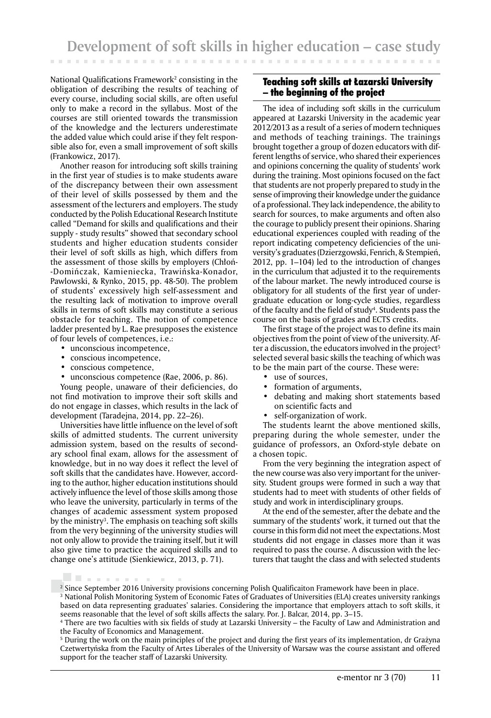National Qualifications Framework2 consisting in the obligation of describing the results of teaching of every course, including social skills, are often useful only to make a record in the syllabus. Most of the courses are still oriented towards the transmission of the knowledge and the lecturers underestimate the added value which could arise if they felt responsible also for, even a small improvement of soft skills (Frankowicz, 2017).

Another reason for introducing soft skills training in the first year of studies is to make students aware of the discrepancy between their own assessment of their level of skills possessed by them and the assessment of the lecturers and employers. The study conducted by the Polish Educational Research Institute called "Demand for skills and qualifications and their supply - study results" showed that secondary school students and higher education students consider their level of soft skills as high, which differs from the assessment of those skills by employers (Chłoń- -Domińczak, Kamieniecka, Trawińska-Konador, Pawlowski, & Rynko, 2015, pp. 48-50). The problem of students' excessively high self-assessment and the resulting lack of motivation to improve overall skills in terms of soft skills may constitute a serious obstacle for teaching. The notion of competence ladder presented by L. Rae presupposes the existence of four levels of competences, i.e.:

- unconscious incompetence,
- conscious incompetence,
- conscious competence,

. . . . . . . . .

unconscious competence (Rae, 2006, p. 86).

Young people, unaware of their deficiencies, do not find motivation to improve their soft skills and do not engage in classes, which results in the lack of development (Taradejna, 2014, pp. 22–26).

Universities have little influence on the level of soft skills of admitted students. The current university admission system, based on the results of secondary school final exam, allows for the assessment of knowledge, but in no way does it reflect the level of soft skills that the candidates have. However, according to the author, higher education institutions should actively influence the level of those skills among those who leave the university, particularly in terms of the changes of academic assessment system proposed by the ministry3 . The emphasis on teaching soft skills from the very beginning of the university studies will not only allow to provide the training itself, but it will also give time to practice the acquired skills and to change one's attitude (Sienkiewicz, 2013, p. 71).

## Teaching soft skills at Łazarski University – the beginning of the project

The idea of including soft skills in the curriculum appeared at Łazarski University in the academic year 2012/2013 as a result of a series of modern techniques and methods of teaching trainings. The trainings brought together a group of dozen educators with different lengths of service, who shared their experiences and opinions concerning the quality of students' work during the training. Most opinions focused on the fact that students are not properly prepared to study in the sense of improving their knowledge under the guidance of a professional. They lack independence, the ability to search for sources, to make arguments and often also the courage to publicly present their opinions. Sharing educational experiences coupled with reading of the report indicating competency deficiencies of the university's graduates (Dzierzgowski, Fenrich, & Stempień, 2012, pp. 1–104) led to the introduction of changes in the curriculum that adjusted it to the requirements of the labour market. The newly introduced course is obligatory for all students of the first year of undergraduate education or long-cycle studies, regardless of the faculty and the field of study<sup>4</sup>. Students pass the course on the basis of grades and ECTS credits.

The first stage of the project was to define its main objectives from the point of view of the university. After a discussion, the educators involved in the project<sup>5</sup> selected several basic skills the teaching of which was to be the main part of the course. These were:

- use of sources,
- formation of arguments,
- debating and making short statements based on scientific facts and
- self-organization of work.

The students learnt the above mentioned skills, preparing during the whole semester, under the guidance of professors, an Oxford-style debate on a chosen topic.

From the very beginning the integration aspect of the new course was also very important for the university. Student groups were formed in such a way that students had to meet with students of other fields of study and work in interdisciplinary groups.

At the end of the semester, after the debate and the summary of the students' work, it turned out that the course in this form did not meet the expectations. Most students did not engage in classes more than it was required to pass the course. A discussion with the lecturers that taught the class and with selected students

<sup>&</sup>lt;sup>2</sup> Since September 2016 University provisions concerning Polish Qualificaiton Framework have been in place.

<sup>3</sup> National Polish Monitoring System of Economic Fates of Graduates of Universities (ELA) creates university rankings based on data representing graduates' salaries. Considering the importance that employers attach to soft skills, it seems reasonable that the level of soft skills affects the salary. Por. J. Balcar, 2014, pp. 3–15.

<sup>4</sup> There are two faculties with six fields of study at Lazarski University – the Faculty of Law and Administration and the Faculty of Economics and Management.

<sup>5</sup> During the work on the main principles of the project and during the first years of its implementation, dr Grażyna Czetwertyńska from the Faculty of Artes Liberales of the University of Warsaw was the course assistant and offered support for the teacher staff of Lazarski University.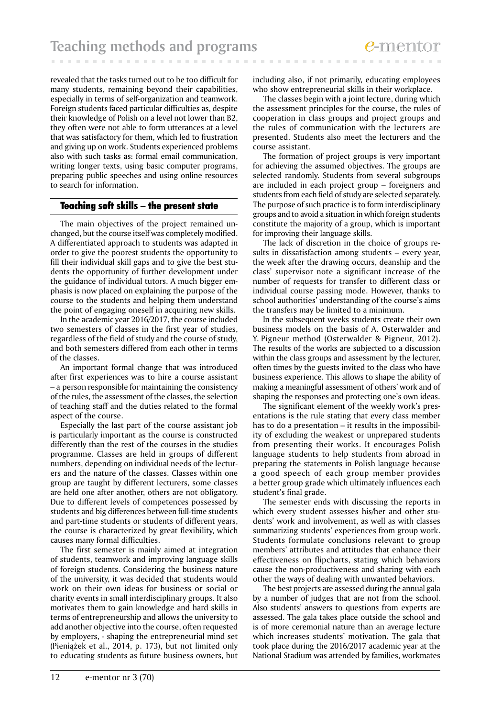revealed that the tasks turned out to be too difficult for many students, remaining beyond their capabilities, especially in terms of self-organization and teamwork. Foreign students faced particular difficulties as, despite their knowledge of Polish on a level not lower than B2, they often were not able to form utterances at a level that was satisfactory for them, which led to frustration and giving up on work. Students experienced problems also with such tasks as: formal email communication, writing longer texts, using basic computer programs, preparing public speeches and using online resources to search for information.

# Teaching soft skills – the present state

The main objectives of the project remained unchanged, but the course itself was completely modified. A differentiated approach to students was adapted in order to give the poorest students the opportunity to fill their individual skill gaps and to give the best students the opportunity of further development under the guidance of individual tutors. A much bigger emphasis is now placed on explaining the purpose of the course to the students and helping them understand the point of engaging oneself in acquiring new skills.

In the academic year 2016/2017, the course included two semesters of classes in the first year of studies, regardless of the field of study and the course of study, and both semesters differed from each other in terms of the classes.

An important formal change that was introduced after first experiences was to hire a course assistant – a person responsible for maintaining the consistency of the rules, the assessment of the classes, the selection of teaching staff and the duties related to the formal aspect of the course.

Especially the last part of the course assistant job is particularly important as the course is constructed differently than the rest of the courses in the studies programme. Classes are held in groups of different numbers, depending on individual needs of the lecturers and the nature of the classes. Classes within one group are taught by different lecturers, some classes are held one after another, others are not obligatory. Due to different levels of competences possessed by students and big differences between full-time students and part-time students or students of different years, the course is characterized by great flexibility, which causes many formal difficulties.

The first semester is mainly aimed at integration of students, teamwork and improving language skills of foreign students. Considering the business nature of the university, it was decided that students would work on their own ideas for business or social or charity events in small interdisciplinary groups. It also motivates them to gain knowledge and hard skills in terms of entrepreneurship and allows the university to add another objective into the course, often requested by employers, - shaping the entrepreneurial mind set (Pieniążek et al., 2014, p. 173), but not limited only to educating students as future business owners, but including also, if not primarily, educating employees who show entrepreneurial skills in their workplace.

The classes begin with a joint lecture, during which the assessment principles for the course, the rules of cooperation in class groups and project groups and the rules of communication with the lecturers are presented. Students also meet the lecturers and the course assistant*.*

The formation of project groups is very important for achieving the assumed objectives. The groups are selected randomly. Students from several subgroups are included in each project group – foreigners and students from each field of study are selected separately. The purpose of such practice is to form interdisciplinary groups and to avoid a situation in which foreign students constitute the majority of a group, which is important for improving their language skills.

The lack of discretion in the choice of groups results in dissatisfaction among students – every year, the week after the drawing occurs, deanship and the class' supervisor note a significant increase of the number of requests for transfer to different class or individual course passing mode. However, thanks to school authorities' understanding of the course's aims the transfers may be limited to a minimum.

In the subsequent weeks students create their own business models on the basis of A. Osterwalder and Y. Pigneur method (Osterwalder & Pigneur, 2012). The results of the works are subjected to a discussion within the class groups and assessment by the lecturer, often times by the guests invited to the class who have business experience. This allows to shape the ability of making a meaningful assessment of others' work and of shaping the responses and protecting one's own ideas.

The significant element of the weekly work's presentations is the rule stating that every class member has to do a presentation – it results in the impossibility of excluding the weakest or unprepared students from presenting their works. It encourages Polish language students to help students from abroad in preparing the statements in Polish language because a good speech of each group member provides a better group grade which ultimately influences each student's final grade.

The semester ends with discussing the reports in which every student assesses his/her and other students' work and involvement, as well as with classes summarizing students' experiences from group work. Students formulate conclusions relevant to group members' attributes and attitudes that enhance their effectiveness on flipcharts, stating which behaviors cause the non-productiveness and sharing with each other the ways of dealing with unwanted behaviors.

The best projects are assessed during the annual gala by a number of judges that are not from the school. Also students' answers to questions from experts are assessed. The gala takes place outside the school and is of more ceremonial nature than an average lecture which increases students' motivation. The gala that took place during the 2016/2017 academic year at the National Stadium was attended by families, workmates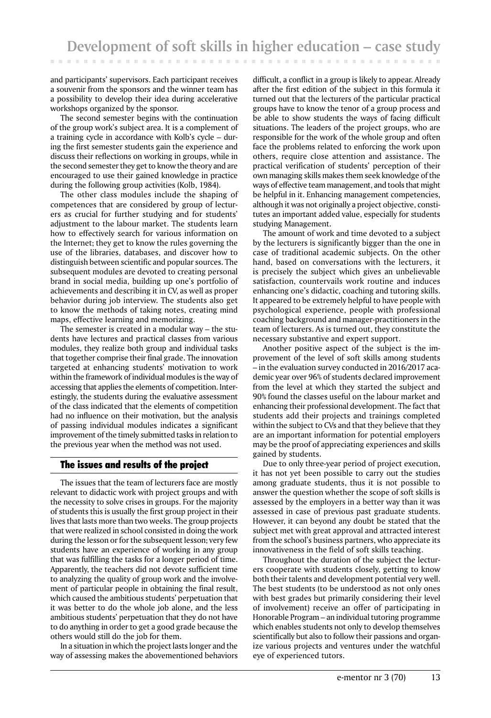and participants' supervisors. Each participant receives a souvenir from the sponsors and the winner team has a possibility to develop their idea during accelerative workshops organized by the sponsor.

The second semester begins with the continuation of the group work's subject area. It is a complement of a training cycle in accordance with Kolb's cycle – during the first semester students gain the experience and discuss their reflections on working in groups, while in the second semester they get to know the theory and are encouraged to use their gained knowledge in practice during the following group activities (Kolb, 1984).

The other class modules include the shaping of competences that are considered by group of lecturers as crucial for further studying and for students' adjustment to the labour market. The students learn how to effectively search for various information on the Internet; they get to know the rules governing the use of the libraries, databases, and discover how to distinguish between scientific and popular sources. The subsequent modules are devoted to creating personal brand in social media, building up one's portfolio of achievements and describing it in CV, as well as proper behavior during job interview. The students also get to know the methods of taking notes, creating mind maps, effective learning and memorizing.

The semester is created in a modular way – the students have lectures and practical classes from various modules, they realize both group and individual tasks that together comprise their final grade. The innovation targeted at enhancing students' motivation to work within the framework of individual modules is the way of accessing that applies the elements of competition. Interestingly, the students during the evaluative assessment of the class indicated that the elements of competition had no influence on their motivation, but the analysis of passing individual modules indicates a significant improvement of the timely submitted tasks in relation to the previous year when the method was not used.

### The issues and results of the project

The issues that the team of lecturers face are mostly relevant to didactic work with project groups and with the necessity to solve crises in groups. For the majority of students this is usually the first group project in their lives that lasts more than two weeks. The group projects that were realized in school consisted in doing the work during the lesson or for the subsequent lesson; very few students have an experience of working in any group that was fulfilling the tasks for a longer period of time. Apparently, the teachers did not devote sufficient time to analyzing the quality of group work and the involvement of particular people in obtaining the final result, which caused the ambitious students' perpetuation that it was better to do the whole job alone, and the less ambitious students' perpetuation that they do not have to do anything in order to get a good grade because the others would still do the job for them.

In a situation in which the project lasts longer and the way of assessing makes the abovementioned behaviors

difficult, a conflict in a group is likely to appear. Already after the first edition of the subject in this formula it turned out that the lecturers of the particular practical groups have to know the tenor of a group process and be able to show students the ways of facing difficult situations. The leaders of the project groups, who are responsible for the work of the whole group and often face the problems related to enforcing the work upon others, require close attention and assistance. The practical verification of students' perception of their own managing skills makes them seek knowledge of the ways of effective team management, and tools that might be helpful in it. Enhancing management competencies, although it was not originally a project objective, constitutes an important added value, especially for students studying Management.

The amount of work and time devoted to a subject by the lecturers is significantly bigger than the one in case of traditional academic subjects. On the other hand, based on conversations with the lecturers, it is precisely the subject which gives an unbelievable satisfaction, countervails work routine and induces enhancing one's didactic, coaching and tutoring skills. It appeared to be extremely helpful to have people with psychological experience, people with professional coaching background and manager-practitioners in the team of lecturers. As is turned out, they constitute the necessary substantive and expert support.

Another positive aspect of the subject is the improvement of the level of soft skills among students – in the evaluation survey conducted in 2016/2017 academic year over 96% of students declared improvement from the level at which they started the subject and 90% found the classes useful on the labour market and enhancing their professional development. The fact that students add their projects and trainings completed within the subject to CVs and that they believe that they are an important information for potential employers may be the proof of appreciating experiences and skills gained by students.

Due to only three-year period of project execution, it has not yet been possible to carry out the studies among graduate students, thus it is not possible to answer the question whether the scope of soft skills is assessed by the employers in a better way than it was assessed in case of previous past graduate students. However, it can beyond any doubt be stated that the subject met with great approval and attracted interest from the school's business partners, who appreciate its innovativeness in the field of soft skills teaching.

Throughout the duration of the subject the lecturers cooperate with students closely, getting to know both their talents and development potential very well. The best students (to be understood as not only ones with best grades but primarily considering their level of involvement) receive an offer of participating in Honorable Program – an individual tutoring programme which enables students not only to develop themselves scientifically but also to follow their passions and organize various projects and ventures under the watchful eye of experienced tutors.